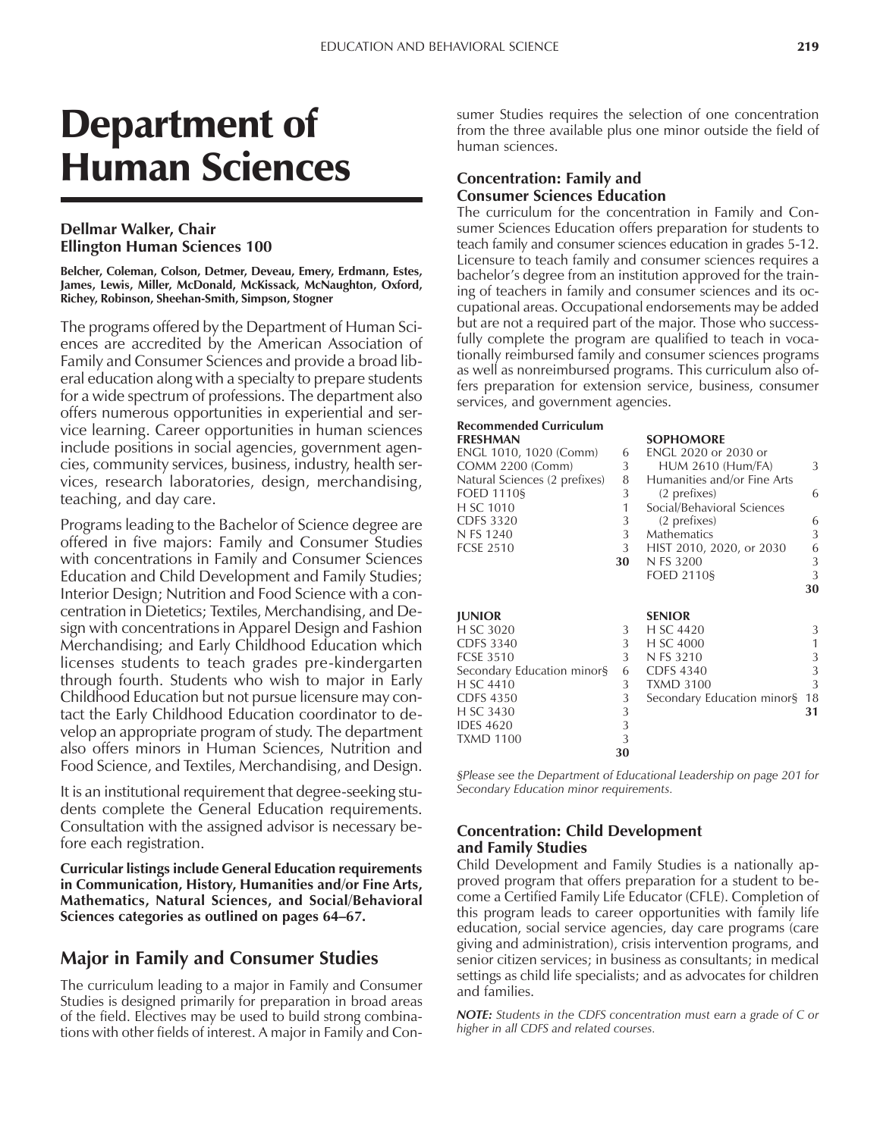# Department of Human Sciences

### **Dellmar Walker, Chair Ellington Human Sciences 100**

**Belcher, Coleman, Colson, Detmer, Deveau, Emery, Erdmann, Estes, James, Lewis, Miller, McDonald, McKissack, McNaughton, Oxford, Richey, Robinson, Sheehan-Smith, Simpson, Stogner**

The programs offered by the Department of Human Sciences are accredited by the American Association of Family and Consumer Sciences and provide a broad liberal education along with a specialty to prepare students for a wide spectrum of professions. The department also offers numerous opportunities in experiential and service learning. Career opportunities in human sciences include positions in social agencies, government agencies, community services, business, industry, health services, research laboratories, design, merchandising, teaching, and day care.

Programs leading to the Bachelor of Science degree are offered in five majors: Family and Consumer Studies with concentrations in Family and Consumer Sciences Education and Child Development and Family Studies; Interior Design; Nutrition and Food Science with a concentration in Dietetics; Textiles, Merchandising, and Design with concentrations in Apparel Design and Fashion Merchandising; and Early Childhood Education which licenses students to teach grades pre-kindergarten through fourth. Students who wish to major in Early Childhood Education but not pursue licensure may contact the Early Childhood Education coordinator to develop an appropriate program of study. The department also offers minors in Human Sciences, Nutrition and Food Science, and Textiles, Merchandising, and Design.

It is an institutional requirement that degree-seeking students complete the General Education requirements. Consultation with the assigned advisor is necessary before each registration.

**Curricular listings include General Education requirements in Communication, History, Humanities and/or Fine Arts, Mathematics, Natural Sciences, and Social/Behavioral** Sciences categories as outlined on pages 64–67.

### **Major in Family and Consumer Studies**

The curriculum leading to a major in Family and Consumer Studies is designed primarily for preparation in broad areas of the field. Electives may be used to build strong combinations with other fields of interest. A major in Family and Consumer Studies requires the selection of one concentration from the three available plus one minor outside the field of human sciences.

### **Concentration: Family and Consumer Sciences Education**

The curriculum for the concentration in Family and Consumer Sciences Education offers preparation for students to teach family and consumer sciences education in grades 5-12. Licensure to teach family and consumer sciences requires a bachelor's degree from an institution approved for the training of teachers in family and consumer sciences and its occupational areas. Occupational endorsements may be added but are not a required part of the major. Those who successfully complete the program are qualified to teach in vocationally reimbursed family and consumer sciences programs as well as nonreimbursed programs. This curriculum also offers preparation for extension service, business, consumer services, and government agencies.

| <b>Recommended Curriculum</b> |    |                             |    |
|-------------------------------|----|-----------------------------|----|
| <b>FRESHMAN</b>               |    | <b>SOPHOMORE</b>            |    |
| ENGL 1010, 1020 (Comm)        | 6  | ENGL 2020 or 2030 or        |    |
| <b>COMM 2200 (Comm)</b>       | 3  | <b>HUM 2610 (Hum/FA)</b>    | 3  |
| Natural Sciences (2 prefixes) | 8  | Humanities and/or Fine Arts |    |
| <b>FOED 1110§</b>             | 3  | (2 prefixes)                | 6  |
| H SC 1010                     | 1  | Social/Behavioral Sciences  |    |
| <b>CDFS 3320</b>              | 3  | (2 prefixes)                | 6  |
| N FS 1240                     | 3  | <b>Mathematics</b>          | 3  |
| <b>FCSE 2510</b>              | 3  | HIST 2010, 2020, or 2030    | 6  |
|                               | 30 | N FS 3200                   | 3  |
|                               |    | <b>FOED 2110§</b>           | 3  |
|                               |    |                             | 30 |
|                               |    |                             |    |
| <b>JUNIOR</b>                 |    | <b>SENIOR</b>               |    |
| H SC 3020                     | 3  | H SC 4420                   | 3  |
| <b>CDFS 3340</b>              | 3  | H SC 4000                   | 1  |
| <b>FCSE 3510</b>              | 3  | N FS 3210                   | 3  |
| Secondary Education minor§    | 6  | <b>CDFS 4340</b>            | 3  |
| H SC 4410                     | 3  | <b>TXMD 3100</b>            | 3  |
| <b>CDFS 4350</b>              | 3  | Secondary Education minor§  | 18 |
| H SC 3430                     | 3  |                             | 31 |
| <b>IDES 4620</b>              | 3  |                             |    |
| <b>TXMD 1100</b>              | 3  |                             |    |
|                               | 30 |                             |    |

*ßPlease see the Department of Educational Leadership on page 201 for Secondary Education minor requirements.*

#### **Concentration: Child Development and Family Studies**

Child Development and Family Studies is a nationally approved program that offers preparation for a student to become a Certified Family Life Educator (CFLE). Completion of this program leads to career opportunities with family life education, social service agencies, day care programs (care giving and administration), crisis intervention programs, and senior citizen services; in business as consultants; in medical settings as child life specialists; and as advocates for children and families.

*NOTE: Students in the CDFS concentration must earn a grade of C or higher in all CDFS and related courses.*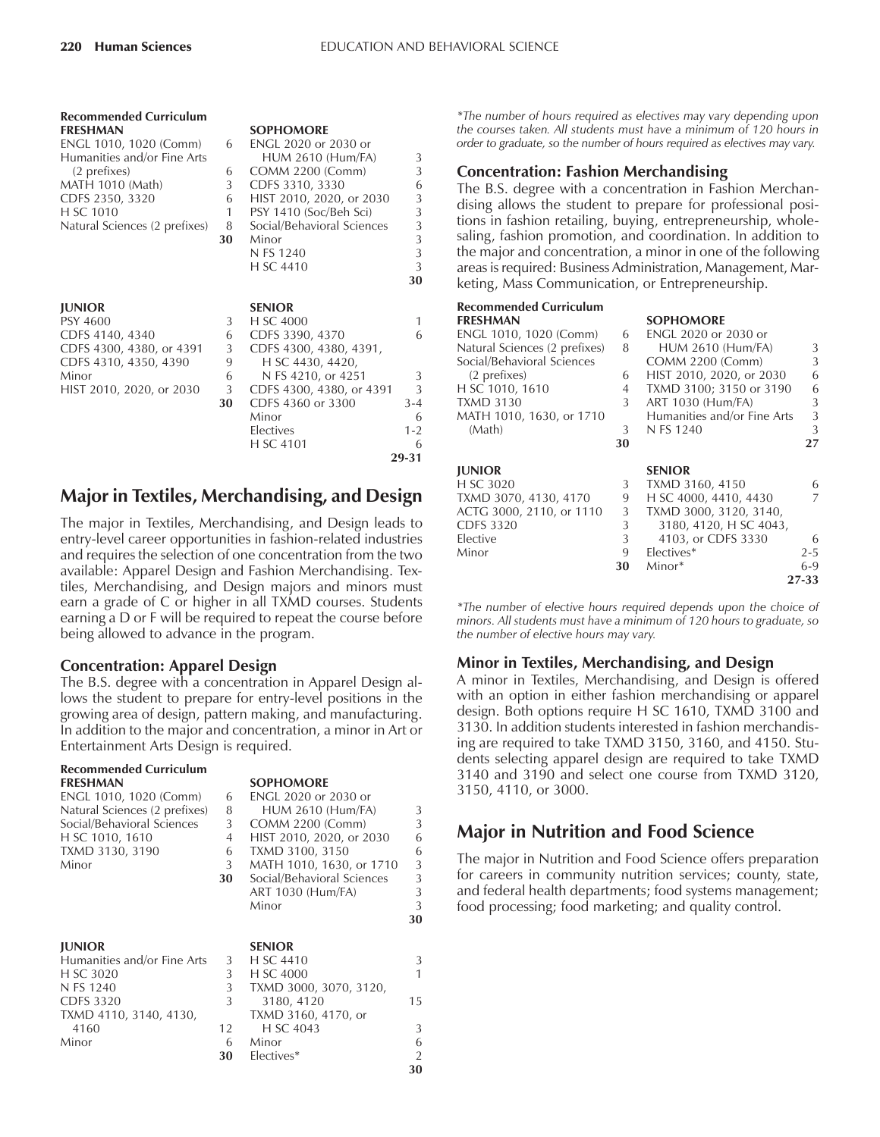**29-31**

| <b>Recommended Curriculum</b> |    |                            |         |
|-------------------------------|----|----------------------------|---------|
| <b>FRESHMAN</b>               |    | <b>SOPHOMORE</b>           |         |
| ENGL 1010, 1020 (Comm)        | 6  | ENGL 2020 or 2030 or       |         |
| Humanities and/or Fine Arts   |    | <b>HUM 2610 (Hum/FA)</b>   | 3       |
| (2 prefixes)                  | 6  | <b>COMM 2200 (Comm)</b>    | 3       |
| <b>MATH 1010 (Math)</b>       | 3  | CDFS 3310, 3330            | 6       |
| CDFS 2350, 3320               | 6  | HIST 2010, 2020, or 2030   | 3       |
| H SC 1010                     | 1  | PSY 1410 (Soc/Beh Sci)     | 3       |
| Natural Sciences (2 prefixes) | 8  | Social/Behavioral Sciences | 3       |
|                               | 30 | Minor                      | 3       |
|                               |    | N FS 1240                  | 3       |
|                               |    | H SC 4410                  | 3       |
|                               |    |                            | 30      |
|                               |    |                            |         |
| <b>JUNIOR</b>                 |    | <b>SENIOR</b>              |         |
| <b>PSY 4600</b>               | 3  | H SC 4000                  | 1       |
| CDFS 4140, 4340               | 6  | CDFS 3390, 4370            | 6       |
| CDFS 4300, 4380, or 4391      | 3  | CDFS 4300, 4380, 4391,     |         |
| CDFS 4310, 4350, 4390         | 9  | H SC 4430, 4420,           |         |
| Minor                         | 6  | N FS 4210, or 4251         | 3       |
| HIST 2010, 2020, or 2030      | 3  | CDFS 4300, 4380, or 4391   | 3       |
|                               | 30 | CDFS 4360 or 3300          | $3 - 4$ |
|                               |    | Minor                      | 6       |
|                               |    | Electives                  | $1 - 2$ |
|                               |    | H SC 4101                  | 6       |
|                               |    |                            |         |

## **Major in Textiles, Merchandising, and Design**

The major in Textiles, Merchandising, and Design leads to entry-level career opportunities in fashion-related industries and requires the selection of one concentration from the two available: Apparel Design and Fashion Merchandising. Textiles, Merchandising, and Design majors and minors must earn a grade of C or higher in all TXMD courses. Students earning a D or F will be required to repeat the course before being allowed to advance in the program.

### **Concentration: Apparel Design**

The B.S. degree with a concentration in Apparel Design allows the student to prepare for entry-level positions in the growing area of design, pattern making, and manufacturing. In addition to the major and concentration, a minor in Art or Entertainment Arts Design is required.

| <b>Recommended Curriculum</b><br><b>FRESHMAN</b><br>ENGL 1010, 1020 (Comm)<br>Natural Sciences (2 prefixes)<br>Social/Behavioral Sciences<br>H SC 1010, 1610<br>TXMD 3130, 3190<br>Minor | 6<br>8<br>3<br>4<br>6<br>3<br>30  | <b>SOPHOMORE</b><br>ENGL 2020 or 2030 or<br><b>HUM 2610 (Hum/FA)</b><br>COMM 2200 (Comm)<br>HIST 2010, 2020, or 2030<br>TXMD 3100, 3150<br>MATH 1010, 1630, or 1710<br>Social/Behavioral Sciences<br>ART 1030 (Hum/FA)<br>Minor | 3<br>3<br>6<br>6<br>3<br>3<br>3<br>3<br>30     |
|------------------------------------------------------------------------------------------------------------------------------------------------------------------------------------------|-----------------------------------|---------------------------------------------------------------------------------------------------------------------------------------------------------------------------------------------------------------------------------|------------------------------------------------|
| <b>JUNIOR</b><br>Humanities and/or Fine Arts<br>H SC 3020<br>N FS 1240<br><b>CDFS 3320</b><br>TXMD 4110, 3140, 4130,<br>4160<br>Minor                                                    | 3<br>3<br>3<br>3<br>12<br>6<br>30 | <b>SENIOR</b><br>H SC 4410<br>H SC 4000<br>TXMD 3000, 3070, 3120,<br>3180, 4120<br>TXMD 3160, 4170, or<br>H SC 4043<br>Minor<br>Electives*                                                                                      | 3<br>1<br>15<br>3<br>6<br>$\mathfrak{D}$<br>30 |

*\*The number of hours required as electives may vary depending upon the courses taken. All students must have a minimum of 120 hours in order to graduate, so the number of hours required as electives may vary.*

### **Concentration: Fashion Merchandising**

The B.S. degree with a concentration in Fashion Merchandising allows the student to prepare for professional positions in fashion retailing, buying, entrepreneurship, wholesaling, fashion promotion, and coordination. In addition to the major and concentration, a minor in one of the following areas is required: Business Administration, Management, Marketing, Mass Communication, or Entrepreneurship.

#### **Recommended Curriculum FRESHMAN SOPHOMORE** ENGL 1010, 1020 (Comm) 6 ENGL 2020 or 2030 or

| $ENGL$ $1010, 1020$ (Comm)    | O  | EINGL ZUZU OF ZU3U OF       |         |
|-------------------------------|----|-----------------------------|---------|
| Natural Sciences (2 prefixes) | 8  | <b>HUM 2610 (Hum/FA)</b>    | 3       |
| Social/Behavioral Sciences    |    | <b>COMM 2200 (Comm)</b>     | 3       |
| (2 prefixes)                  | 6  | HIST 2010, 2020, or 2030    | 6       |
| H SC 1010, 1610               | 4  | TXMD 3100; 3150 or 3190     | 6       |
| <b>TXMD 3130</b>              | 3  | ART 1030 (Hum/FA)           | 3       |
| MATH 1010, 1630, or 1710      |    | Humanities and/or Fine Arts | 3       |
| (Math)                        | 3  | N FS 1240                   | 3       |
|                               | 30 |                             | 27      |
| <b>JUNIOR</b>                 |    | <b>SENIOR</b>               |         |
| H SC 3020                     | 3  | TXMD 3160, 4150             | 6       |
| TXMD 3070, 4130, 4170         | 9  | H SC 4000, 4410, 4430       |         |
| ACTG 3000, 2110, or 1110      | 3  | TXMD 3000, 3120, 3140,      |         |
| <b>CDFS 3320</b>              | 3  | 3180, 4120, H SC 4043,      |         |
| Elective                      | 3  | 4103, or CDFS 3330          | 6       |
| Minor                         | 9  | Electives*                  | $2 - 5$ |
|                               | 30 | Minor*                      | $6-9$   |
|                               |    |                             | 27-33   |

*\*The number of elective hours required depends upon the choice of minors. All students must have a minimum of 120 hours to graduate, so the number of elective hours may vary.*

### **Minor in Textiles, Merchandising, and Design**

A minor in Textiles, Merchandising, and Design is offered with an option in either fashion merchandising or apparel design. Both options require H SC 1610, TXMD 3100 and 3130. In addition students interested in fashion merchandising are required to take TXMD 3150, 3160, and 4150. Students selecting apparel design are required to take TXMD 3140 and 3190 and select one course from TXMD 3120, 3150, 4110, or 3000.

### **Major in Nutrition and Food Science**

The major in Nutrition and Food Science offers preparation for careers in community nutrition services; county, state, and federal health departments; food systems management; food processing; food marketing; and quality control.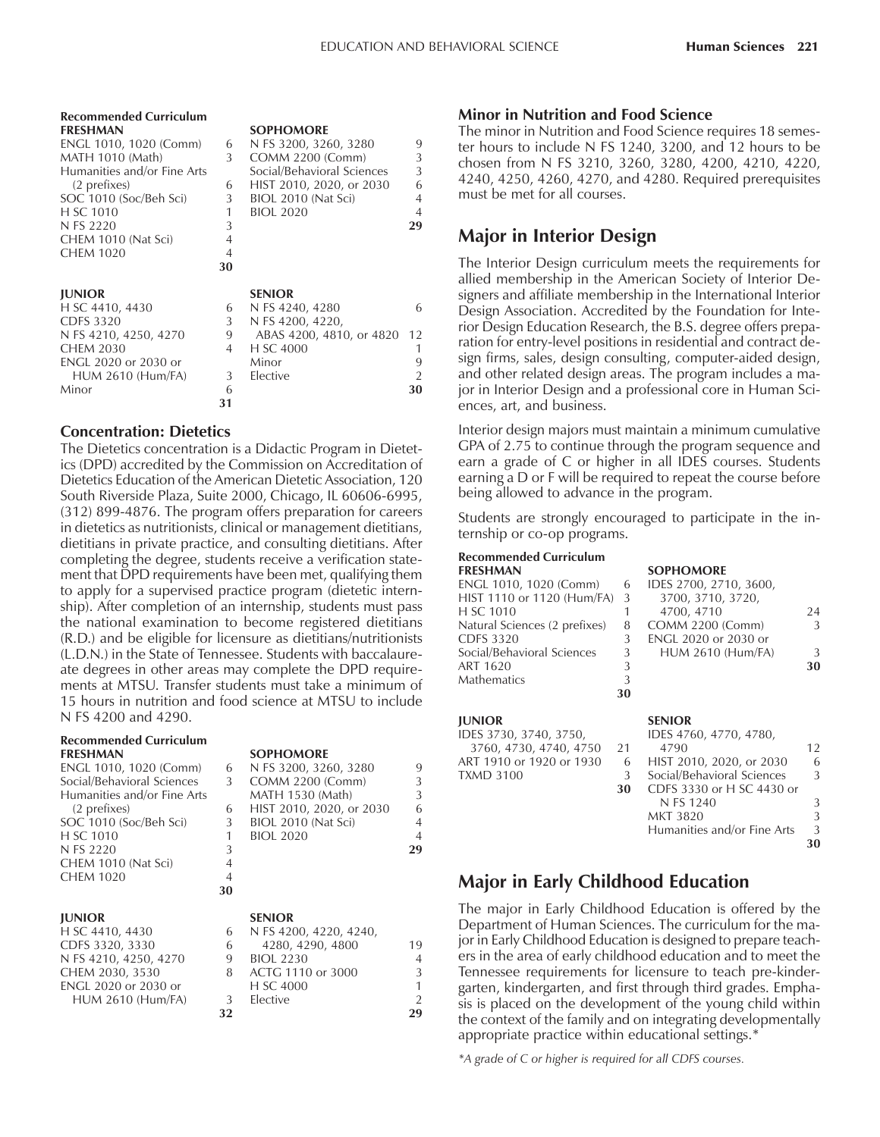| <b>Recommended Curriculum</b><br><b>FRESHMAN</b><br>ENGL 1010, 1020 (Comm)<br><b>MATH 1010 (Math)</b><br>Humanities and/or Fine Arts<br>(2 prefixes)<br>SOC 1010 (Soc/Beh Sci)<br>H SC 1010<br>N FS 2220<br>CHEM 1010 (Nat Sci)<br><b>CHEM 1020</b> | 6<br>3<br>6<br>3<br>1<br>3<br>$\overline{4}$<br>$\overline{4}$<br>30 | <b>SOPHOMORE</b><br>N FS 3200, 3260, 3280<br><b>COMM 2200 (Comm)</b><br>Social/Behavioral Sciences<br>HIST 2010, 2020, or 2030<br>BIOL 2010 (Nat Sci)<br><b>BIOL 2020</b> | 9<br>3<br>3<br>6<br>$\overline{4}$<br>$\overline{4}$<br>29 |
|-----------------------------------------------------------------------------------------------------------------------------------------------------------------------------------------------------------------------------------------------------|----------------------------------------------------------------------|---------------------------------------------------------------------------------------------------------------------------------------------------------------------------|------------------------------------------------------------|
| <b>JUNIOR</b><br>H SC 4410, 4430<br><b>CDFS 3320</b><br>N FS 4210, 4250, 4270<br><b>CHEM 2030</b><br><b>ENGL 2020 or 2030 or</b><br>HUM 2610 (Hum/FA)<br>Minor                                                                                      | 6<br>3<br>9<br>4<br>3<br>6<br>31                                     | <b>SENIOR</b><br>N FS 4240, 4280<br>N FS 4200, 4220,<br>ABAS 4200, 4810, or 4820<br>H SC 4000<br>Minor<br>Elective                                                        | 6<br>12<br>1<br>9<br>$\overline{2}$<br>30                  |

#### **Concentration: Dietetics**

The Dietetics concentration is a Didactic Program in Dietetics (DPD) accredited by the Commission on Accreditation of Dietetics Education of the American Dietetic Association, 120 South Riverside Plaza, Suite 2000, Chicago, IL 60606-6995, (312) 899-4876. The program offers preparation for careers in dietetics as nutritionists, clinical or management dietitians, dietitians in private practice, and consulting dietitians. After completing the degree, students receive a verification statement that DPD requirements have been met, qualifying them to apply for a supervised practice program (dietetic internship). After completion of an internship, students must pass the national examination to become registered dietitians (R.D.) and be eligible for licensure as dietitians/nutritionists (L.D.N.) in the State of Tennessee. Students with baccalaureate degrees in other areas may complete the DPD requirements at MTSU. Transfer students must take a minimum of 15 hours in nutrition and food science at MTSU to include N FS 4200 and 4290.

#### **Recommended Curriculum FRESHMAN SOPHOMORE**

| ENGL 1010, 1020 (Comm)      | 6 |
|-----------------------------|---|
| Social/Behavioral Sciences  | 3 |
| Humanities and/or Fine Arts |   |
| (2 prefixes)                | 6 |
| SOC 1010 (Soc/Beh Sci)      | 3 |
| H SC 1010                   | 1 |
| N FS 2220                   | 3 |
| CHEM 1010 (Nat Sci)         | 4 |
| <b>CHEM 1020</b>            |   |
|                             |   |

#### **JUNIOR SENIOR**

| H SC 4410, 4430          |
|--------------------------|
| CDFS 3320, 3330          |
| N FS 4210, 4250, 4270    |
| CHEM 2030, 3530          |
| ENGL 2020 or 2030 or     |
| <b>HUM 2610 (Hum/FA)</b> |
|                          |

| ENGL 1010, 1020 (Comm)      | 6              | N FS 3200, 3260, 3280    | 9              |
|-----------------------------|----------------|--------------------------|----------------|
| Social/Behavioral Sciences  | 3              | COMM 2200 (Comm)         | 3              |
| Humanities and/or Fine Arts |                | MATH 1530 (Math)         | 3              |
| (2 prefixes)                | 6              | HIST 2010, 2020, or 2030 | 6              |
| SOC 1010 (Soc/Beh Sci)      | 3              | BIOL 2010 (Nat Sci)      | $\overline{4}$ |
| H SC 1010                   |                | <b>BIOL 2020</b>         | $\overline{4}$ |
| N FS 2220                   | 3              |                          | 29             |
| CHEM 1010 (Nat Sci)         | 4              |                          |                |
| CHEM 1020                   | $\overline{A}$ |                          |                |
|                             | 30             |                          |                |
| $\mathbf{H}$ in $\Omega$    |                | $C$ ENII $\bigcap$ n     |                |

### 6 N FS 4200, 4220, 4240

| .                        |    |                   |                |
|--------------------------|----|-------------------|----------------|
| CDFS 3320, 3330          | 6  | 4280, 4290, 4800  | 19             |
| N FS 4210, 4250, 4270    | 9  | <b>BIOL 2230</b>  | $\overline{A}$ |
| CHEM 2030, 3530          | 8  | ACTG 1110 or 3000 | 3              |
| ENGL 2020 or 2030 or     |    | H SC 4000         | 1              |
| <b>HUM 2610 (Hum/FA)</b> | 3  | Elective          | $\mathcal{P}$  |
|                          | 32 |                   | 29             |
|                          |    |                   |                |

### **Minor in Nutrition and Food Science**

The minor in Nutrition and Food Science requires 18 semester hours to include N FS 1240, 3200, and 12 hours to be chosen from N FS 3210, 3260, 3280, 4200, 4210, 4220, 4240, 4250, 4260, 4270, and 4280. Required prerequisites must be met for all courses.

### **Major in Interior Design**

The Interior Design curriculum meets the requirements for allied membership in the American Society of Interior Designers and affiliate membership in the International Interior Design Association. Accredited by the Foundation for Interior Design Education Research, the B.S. degree offers preparation for entry-level positions in residential and contract design firms, sales, design consulting, computer-aided design, and other related design areas. The program includes a major in Interior Design and a professional core in Human Sciences, art, and business.

Interior design majors must maintain a minimum cumulative GPA of 2.75 to continue through the program sequence and earn a grade of C or higher in all IDES courses. Students earning a D or F will be required to repeat the course before being allowed to advance in the program.

Students are strongly encouraged to participate in the internship or co-op programs.

### **Recommended Curriculum**

| <b>FRESHMAN</b>               |    | <b>SOPHOMORE</b>         |    |
|-------------------------------|----|--------------------------|----|
| ENGL 1010, 1020 (Comm)        | 6  | IDES 2700, 2710, 3600,   |    |
| HIST 1110 or 1120 (Hum/FA) 3  |    | 3700, 3710, 3720,        |    |
| H SC 1010                     |    | 4700, 4710               | 24 |
| Natural Sciences (2 prefixes) | 8  | <b>COMM 2200 (Comm)</b>  | 3  |
| CDFS 3320                     | 3  | ENGL 2020 or 2030 or     |    |
| Social/Behavioral Sciences    | 3  | <b>HUM 2610 (Hum/FA)</b> | 3  |
| ART 1620                      | 3  |                          | 30 |
| Mathematics                   | 3  |                          |    |
|                               | 30 |                          |    |

### **JUNIOR SENIOR**

IDES 3730, 3740, 3750,<br>3760, 4730, 4740, 4750, 2 3760, 4730, 4740, 4750 ART 1910 or 1920 or 1930 TXMD 3100  $\frac{3}{3}$ 

| 3700, 3710, 3720,           |               |
|-----------------------------|---------------|
| 4700, 4710                  | 24            |
| COMM 2200 (Comm)            | $\mathcal{L}$ |
| <b>ENGL 2020 or 2030 or</b> |               |
| <b>HUM 2610 (Hum/FA)</b>    | 3             |
|                             | 30            |
|                             |               |
|                             |               |
|                             |               |

|    | SENIUK                      |    |
|----|-----------------------------|----|
|    | IDES 4760, 4770, 4780,      |    |
| 21 | 4790                        | 12 |
| -6 | HIST 2010, 2020, or 2030    | 6  |
| -3 | Social/Behavioral Sciences  | 3  |
| 30 | CDFS 3330 or H SC 4430 or   |    |
|    | N FS 1240                   | 3  |
|    | MKT 3820                    | 3  |
|    | Humanities and/or Fine Arts | 3  |
|    |                             |    |

## **Major in Early Childhood Education**

The major in Early Childhood Education is offered by the Department of Human Sciences. The curriculum for the major in Early Childhood Education is designed to prepare teachers in the area of early childhood education and to meet the Tennessee requirements for licensure to teach pre-kindergarten, kindergarten, and first through third grades. Emphasis is placed on the development of the young child within the context of the family and on integrating developmentally appropriate practice within educational settings.\*

*\*A grade of C or higher is required for all CDFS courses.*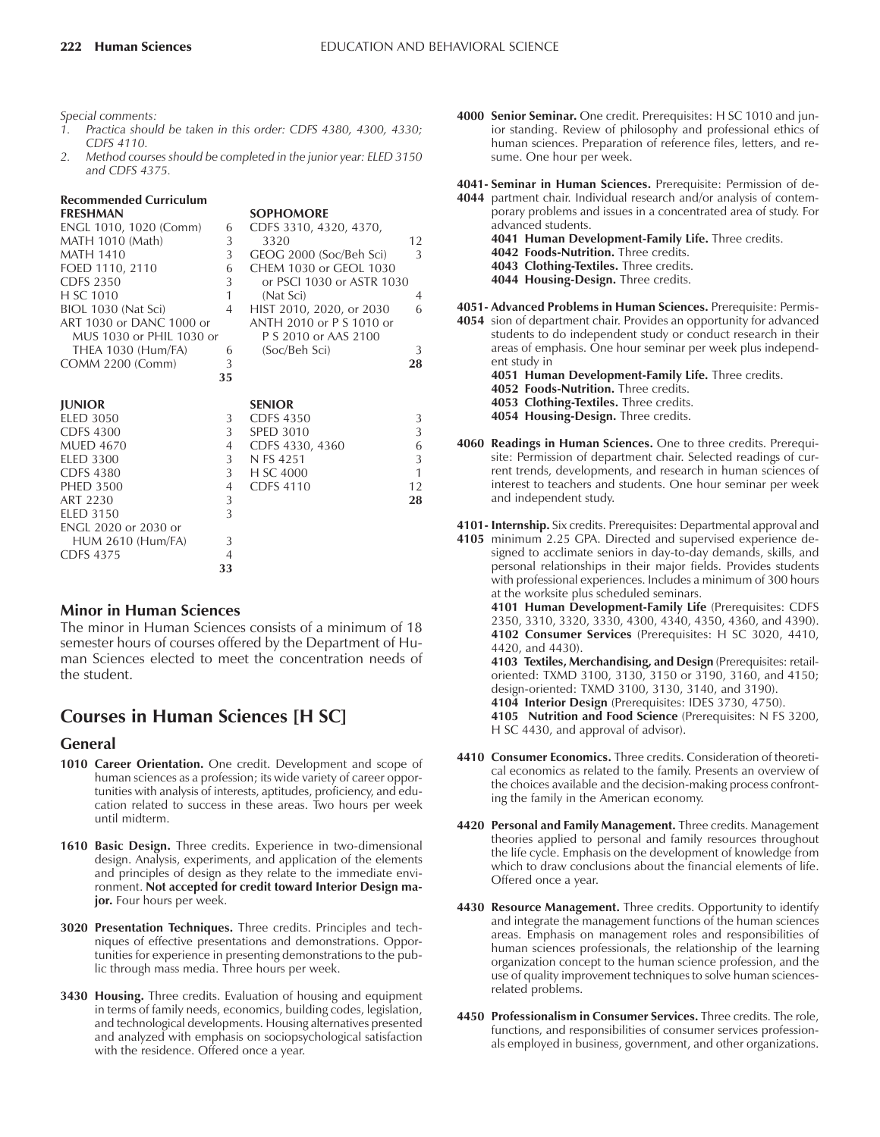*Special comments:*

- *1. Practica should be taken in this order: CDFS 4380, 4300, 4330; CDFS 4110.*
- *2. Method courses should be completed in the junior year: ELED 3150 and CDFS 4375.*

|                | <b>SOPHOMORE</b>                      |                                                                                                                        |
|----------------|---------------------------------------|------------------------------------------------------------------------------------------------------------------------|
| 6              | CDFS 3310, 4320, 4370,                |                                                                                                                        |
| 3              | 3320                                  | 12                                                                                                                     |
| 3              | GEOG 2000 (Soc/Beh Sci)               | 3                                                                                                                      |
| 6              | CHEM 1030 or GEOL 1030                |                                                                                                                        |
| 3              | or PSCI 1030 or ASTR 1030             |                                                                                                                        |
| 1              | (Nat Sci)                             | $\overline{4}$                                                                                                         |
| $\overline{4}$ | HIST 2010, 2020, or 2030              | 6                                                                                                                      |
|                | ANTH 2010 or P S 1010 or              |                                                                                                                        |
|                | P S 2010 or AAS 2100                  |                                                                                                                        |
| 6              | (Soc/Beh Sci)                         | 3                                                                                                                      |
| 3              |                                       | 28                                                                                                                     |
|                |                                       |                                                                                                                        |
|                |                                       |                                                                                                                        |
|                |                                       | 3                                                                                                                      |
|                |                                       | 3                                                                                                                      |
|                |                                       | 6                                                                                                                      |
|                |                                       | 3                                                                                                                      |
|                |                                       | $\mathbf{1}$                                                                                                           |
|                |                                       | 12                                                                                                                     |
|                |                                       | 28                                                                                                                     |
| 3              |                                       |                                                                                                                        |
|                |                                       |                                                                                                                        |
| 3              |                                       |                                                                                                                        |
| $\overline{4}$ |                                       |                                                                                                                        |
| 33             |                                       |                                                                                                                        |
|                | 35<br>3<br>3<br>4<br>3<br>3<br>4<br>3 | <b>SENIOR</b><br><b>CDFS 4350</b><br><b>SPED 3010</b><br>CDFS 4330, 4360<br>N FS 4251<br>H SC 4000<br><b>CDFS 4110</b> |

### **Minor in Human Sciences**

The minor in Human Sciences consists of a minimum of 18 semester hours of courses offered by the Department of Human Sciences elected to meet the concentration needs of the student.

### **Courses in Human Sciences [H SC]**

#### **General**

- **1010 Career Orientation.** One credit. Development and scope of human sciences as a profession; its wide variety of career opportunities with analysis of interests, aptitudes, proficiency, and education related to success in these areas. Two hours per week until midterm.
- **1610 Basic Design.** Three credits. Experience in two-dimensional design. Analysis, experiments, and application of the elements and principles of design as they relate to the immediate environment. **Not accepted for credit toward Interior Design major.** Four hours per week.
- **3020 Presentation Techniques.** Three credits. Principles and techniques of effective presentations and demonstrations. Opportunities for experience in presenting demonstrations to the public through mass media. Three hours per week.
- **3430 Housing.** Three credits. Evaluation of housing and equipment in terms of family needs, economics, building codes, legislation, and technological developments. Housing alternatives presented and analyzed with emphasis on sociopsychological satisfaction with the residence. Offered once a year.

**4000 Senior Seminar.** One credit. Prerequisites: H SC 1010 and junior standing. Review of philosophy and professional ethics of human sciences. Preparation of reference files, letters, and resume. One hour per week.

**4041- Seminar in Human Sciences.** Prerequisite: Permission of de-**4044** partment chair. Individual research and/or analysis of contem-

porary problems and issues in a concentrated area of study. For advanced students. 4041 Human Development-Family Life. Three credits. **4042 Foods-Nutrition.** Three credits. **4043 Clothing-Textiles.** Three credits. **4044 Housing-Design.** Three credits.

**4051- Advanced Problems in Human Sciences.** Prerequisite: Permis-

**4054** sion of department chair. Provides an opportunity for advanced students to do independent study or conduct research in their areas of emphasis. One hour seminar per week plus independent study in

**4051 Human Development-Family Life.** Three credits.

**4052 Foods-Nutrition.** Three credits.

**4053 Clothing-Textiles.** Three credits. **4054 Housing-Design.** Three credits.

**4060 Readings in Human Sciences.** One to three credits. Prerequisite: Permission of department chair. Selected readings of current trends, developments, and research in human sciences of interest to teachers and students. One hour seminar per week and independent study.

**4101- Internship.** Six credits. Prerequisites: Departmental approval and

**4105** minimum 2.25 GPA. Directed and supervised experience designed to acclimate seniors in day-to-day demands, skills, and personal relationships in their major fields. Provides students with professional experiences. Includes a minimum of 300 hours at the worksite plus scheduled seminars.

**4101 Human Development-Family Life** (Prerequisites: CDFS 2350, 3310, 3320, 3330, 4300, 4340, 4350, 4360, and 4390). **4102 Consumer Services** (Prerequisites: H SC 3020, 4410, 4420, and 4430). **4103 Textiles, Merchandising, and Design** (Prerequisites: retail-

oriented: TXMD 3100, 3130, 3150 or 3190, 3160, and 4150; design-oriented: TXMD 3100, 3130, 3140, and 3190). **4104 Interior Design** (Prerequisites: IDES 3730, 4750).

**4105 Nutrition and Food Science** (Prerequisites: N FS 3200, H SC 4430, and approval of advisor).

- **4410 Consumer Economics.** Three credits. Consideration of theoretical economics as related to the family. Presents an overview of the choices available and the decision-making process confronting the family in the American economy.
- **4420 Personal and Family Management.** Three credits. Management theories applied to personal and family resources throughout the life cycle. Emphasis on the development of knowledge from which to draw conclusions about the financial elements of life. Offered once a year.
- **4430 Resource Management.** Three credits. Opportunity to identify and integrate the management functions of the human sciences areas. Emphasis on management roles and responsibilities of human sciences professionals, the relationship of the learning organization concept to the human science profession, and the use of quality improvement techniques to solve human sciencesrelated problems.
- **4450 Professionalism in Consumer Services.** Three credits. The role, functions, and responsibilities of consumer services professionals employed in business, government, and other organizations.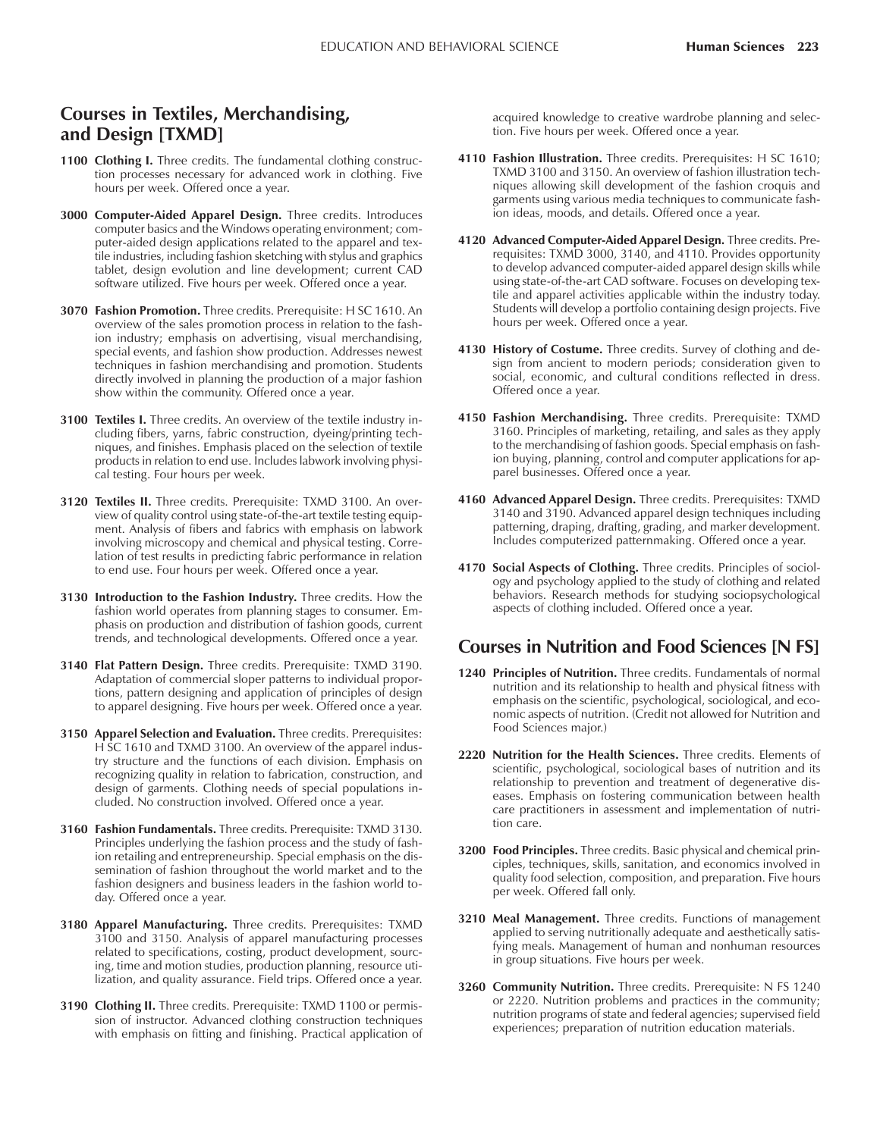### **Courses in Textiles, Merchandising, and Design [TXMD]**

- 1100 Clothing I. Three credits. The fundamental clothing construction processes necessary for advanced work in clothing. Five hours per week. Offered once a year.
- **3000 Computer-Aided Apparel Design.** Three credits. Introduces computer basics and the Windows operating environment; computer-aided design applications related to the apparel and textile industries, including fashion sketching with stylus and graphics tablet, design evolution and line development; current CAD software utilized. Five hours per week. Offered once a year.
- **3070 Fashion Promotion.** Three credits. Prerequisite: H SC 1610. An overview of the sales promotion process in relation to the fashion industry; emphasis on advertising, visual merchandising, special events, and fashion show production. Addresses newest techniques in fashion merchandising and promotion. Students directly involved in planning the production of a major fashion show within the community. Offered once a year.
- **3100 Textiles I.** Three credits. An overview of the textile industry including fibers, yarns, fabric construction, dyeing/printing techniques, and finishes. Emphasis placed on the selection of textile products in relation to end use. Includes labwork involving physical testing. Four hours per week.
- **3120 Textiles II.** Three credits. Prerequisite: TXMD 3100. An overview of quality control using state-of-the-art textile testing equipment. Analysis of fibers and fabrics with emphasis on labwork involving microscopy and chemical and physical testing. Correlation of test results in predicting fabric performance in relation to end use. Four hours per week. Offered once a year.
- **3130 Introduction to the Fashion Industry.** Three credits. How the fashion world operates from planning stages to consumer. Emphasis on production and distribution of fashion goods, current trends, and technological developments. Offered once a year.
- **3140 Flat Pattern Design.** Three credits. Prerequisite: TXMD 3190. Adaptation of commercial sloper patterns to individual proportions, pattern designing and application of principles of design to apparel designing. Five hours per week. Offered once a year.
- **3150 Apparel Selection and Evaluation.** Three credits. Prerequisites: H SC 1610 and TXMD 3100. An overview of the apparel industry structure and the functions of each division. Emphasis on recognizing quality in relation to fabrication, construction, and design of garments. Clothing needs of special populations included. No construction involved. Offered once a year.
- **3160 Fashion Fundamentals.** Three credits. Prerequisite: TXMD 3130. Principles underlying the fashion process and the study of fashion retailing and entrepreneurship. Special emphasis on the dissemination of fashion throughout the world market and to the fashion designers and business leaders in the fashion world today. Offered once a year.
- **3180 Apparel Manufacturing.** Three credits. Prerequisites: TXMD 3100 and 3150. Analysis of apparel manufacturing processes related to specifications, costing, product development, sourcing, time and motion studies, production planning, resource utilization, and quality assurance. Field trips. Offered once a year.
- **3190 Clothing II.** Three credits. Prerequisite: TXMD 1100 or permission of instructor. Advanced clothing construction techniques with emphasis on fitting and finishing. Practical application of

acquired knowledge to creative wardrobe planning and selection. Five hours per week. Offered once a year.

- **4110 Fashion Illustration.** Three credits. Prerequisites: H SC 1610; TXMD 3100 and 3150. An overview of fashion illustration techniques allowing skill development of the fashion croquis and garments using various media techniques to communicate fashion ideas, moods, and details. Offered once a year.
- **4120 Advanced Computer-Aided Apparel Design.** Three credits. Prerequisites: TXMD 3000, 3140, and 4110. Provides opportunity to develop advanced computer-aided apparel design skills while using state-of-the-art CAD software. Focuses on developing textile and apparel activities applicable within the industry today. Students will develop a portfolio containing design projects. Five hours per week. Offered once a year.
- **4130 History of Costume.** Three credits. Survey of clothing and design from ancient to modern periods; consideration given to social, economic, and cultural conditions reflected in dress. Offered once a year.
- **4150 Fashion Merchandising.** Three credits. Prerequisite: TXMD 3160. Principles of marketing, retailing, and sales as they apply to the merchandising of fashion goods. Special emphasis on fashion buying, planning, control and computer applications for apparel businesses. Offered once a year.
- **4160 Advanced Apparel Design.** Three credits. Prerequisites: TXMD 3140 and 3190. Advanced apparel design techniques including patterning, draping, drafting, grading, and marker development. Includes computerized patternmaking. Offered once a year.
- **4170 Social Aspects of Clothing.** Three credits. Principles of sociology and psychology applied to the study of clothing and related behaviors. Research methods for studying sociopsychological aspects of clothing included. Offered once a year.

### **Courses in Nutrition and Food Sciences [N FS]**

- **1240 Principles of Nutrition.** Three credits. Fundamentals of normal nutrition and its relationship to health and physical fitness with emphasis on the scientific, psychological, sociological, and economic aspects of nutrition. (Credit not allowed for Nutrition and Food Sciences major.)
- **2220 Nutrition for the Health Sciences.** Three credits. Elements of scientific, psychological, sociological bases of nutrition and its relationship to prevention and treatment of degenerative diseases. Emphasis on fostering communication between health care practitioners in assessment and implementation of nutrition care.
- **3200 Food Principles.** Three credits. Basic physical and chemical principles, techniques, skills, sanitation, and economics involved in quality food selection, composition, and preparation. Five hours per week. Offered fall only.
- **3210 Meal Management.** Three credits. Functions of management applied to serving nutritionally adequate and aesthetically satisfying meals. Management of human and nonhuman resources in group situations. Five hours per week.
- **3260 Community Nutrition.** Three credits. Prerequisite: N FS 1240 or 2220. Nutrition problems and practices in the community; nutrition programs of state and federal agencies; supervised field experiences; preparation of nutrition education materials.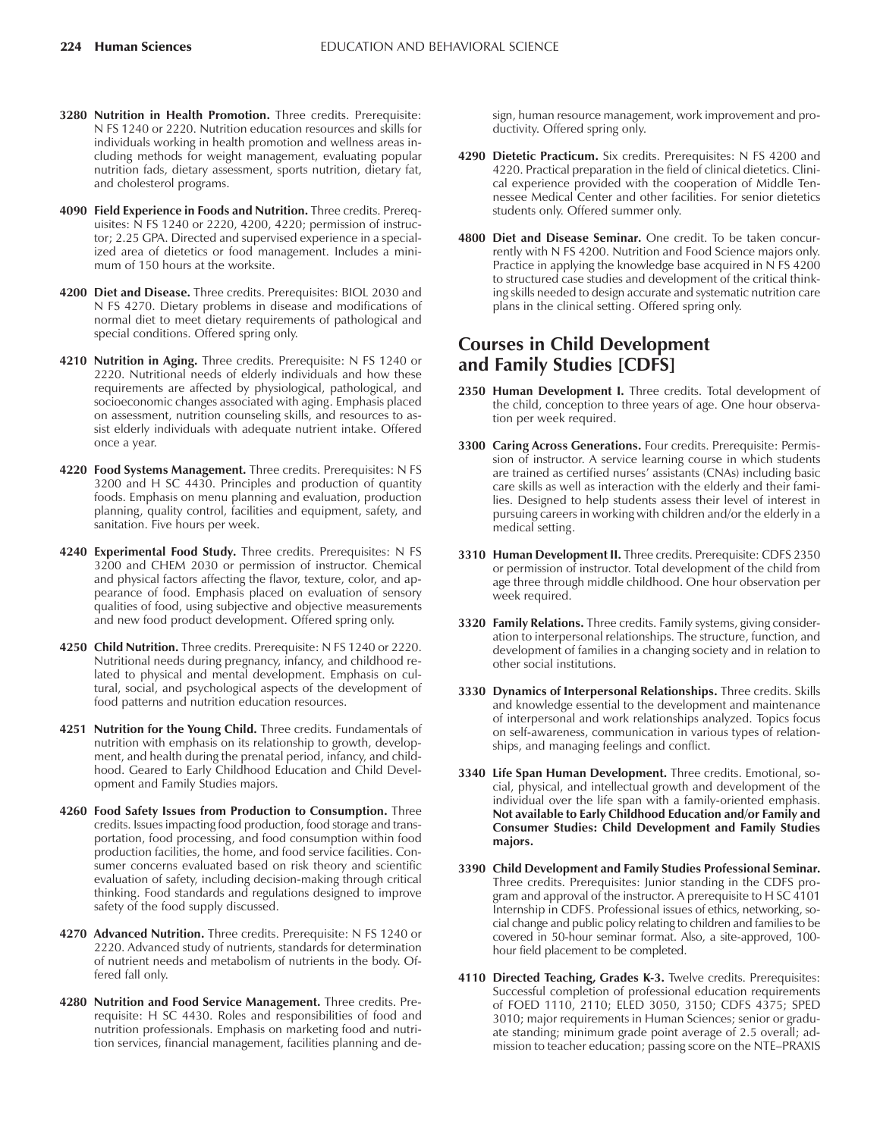- **3280 Nutrition in Health Promotion.** Three credits. Prerequisite: N FS 1240 or 2220. Nutrition education resources and skills for individuals working in health promotion and wellness areas including methods for weight management, evaluating popular nutrition fads, dietary assessment, sports nutrition, dietary fat, and cholesterol programs.
- **4090 Field Experience in Foods and Nutrition.** Three credits. Prerequisites: N FS 1240 or 2220, 4200, 4220; permission of instructor; 2.25 GPA. Directed and supervised experience in a specialized area of dietetics or food management. Includes a minimum of 150 hours at the worksite.
- **4200 Diet and Disease.** Three credits. Prerequisites: BIOL 2030 and N FS 4270. Dietary problems in disease and modifications of normal diet to meet dietary requirements of pathological and special conditions. Offered spring only.
- **4210 Nutrition in Aging.** Three credits. Prerequisite: N FS 1240 or 2220. Nutritional needs of elderly individuals and how these requirements are affected by physiological, pathological, and socioeconomic changes associated with aging. Emphasis placed on assessment, nutrition counseling skills, and resources to assist elderly individuals with adequate nutrient intake. Offered once a year.
- **4220 Food Systems Management.** Three credits. Prerequisites: N FS 3200 and H SC 4430. Principles and production of quantity foods. Emphasis on menu planning and evaluation, production planning, quality control, facilities and equipment, safety, and sanitation. Five hours per week.
- **4240 Experimental Food Study.** Three credits. Prerequisites: N FS 3200 and CHEM 2030 or permission of instructor. Chemical and physical factors affecting the flavor, texture, color, and appearance of food. Emphasis placed on evaluation of sensory qualities of food, using subjective and objective measurements and new food product development. Offered spring only.
- **4250 Child Nutrition.** Three credits. Prerequisite: N FS 1240 or 2220. Nutritional needs during pregnancy, infancy, and childhood related to physical and mental development. Emphasis on cultural, social, and psychological aspects of the development of food patterns and nutrition education resources.
- **4251 Nutrition for the Young Child.** Three credits. Fundamentals of nutrition with emphasis on its relationship to growth, development, and health during the prenatal period, infancy, and childhood. Geared to Early Childhood Education and Child Development and Family Studies majors.
- **4260 Food Safety Issues from Production to Consumption.** Three credits. Issues impacting food production, food storage and transportation, food processing, and food consumption within food production facilities, the home, and food service facilities. Consumer concerns evaluated based on risk theory and scientific evaluation of safety, including decision-making through critical thinking. Food standards and regulations designed to improve safety of the food supply discussed.
- **4270 Advanced Nutrition.** Three credits. Prerequisite: N FS 1240 or 2220. Advanced study of nutrients, standards for determination of nutrient needs and metabolism of nutrients in the body. Offered fall only.
- **4280 Nutrition and Food Service Management.** Three credits. Prerequisite: H SC 4430. Roles and responsibilities of food and nutrition professionals. Emphasis on marketing food and nutrition services, financial management, facilities planning and de-

sign, human resource management, work improvement and productivity. Offered spring only.

- **4290 Dietetic Practicum.** Six credits. Prerequisites: N FS 4200 and 4220. Practical preparation in the field of clinical dietetics. Clinical experience provided with the cooperation of Middle Tennessee Medical Center and other facilities. For senior dietetics students only. Offered summer only.
- **4800 Diet and Disease Seminar.** One credit. To be taken concurrently with N FS 4200. Nutrition and Food Science majors only. Practice in applying the knowledge base acquired in N FS 4200 to structured case studies and development of the critical thinking skills needed to design accurate and systematic nutrition care plans in the clinical setting. Offered spring only.

### **Courses in Child Development and Family Studies [CDFS]**

- 2350 Human Development I. Three credits. Total development of the child, conception to three years of age. One hour observation per week required.
- **3300 Caring Across Generations.** Four credits. Prerequisite: Permission of instructor. A service learning course in which students are trained as certified nurses' assistants (CNAs) including basic care skills as well as interaction with the elderly and their families. Designed to help students assess their level of interest in pursuing careers in working with children and/or the elderly in a medical setting.
- **3310 Human Development II.** Three credits. Prerequisite: CDFS 2350 or permission of instructor. Total development of the child from age three through middle childhood. One hour observation per week required.
- **3320 Family Relations.** Three credits. Family systems, giving consideration to interpersonal relationships. The structure, function, and development of families in a changing society and in relation to other social institutions.
- **3330 Dynamics of Interpersonal Relationships.** Three credits. Skills and knowledge essential to the development and maintenance of interpersonal and work relationships analyzed. Topics focus on self-awareness, communication in various types of relationships, and managing feelings and conflict.
- **3340 Life Span Human Development.** Three credits. Emotional, social, physical, and intellectual growth and development of the individual over the life span with a family-oriented emphasis. **Not available to Early Childhood Education and/or Family and Consumer Studies: Child Development and Family Studies majors.**
- **3390 Child Development and Family Studies Professional Seminar.** Three credits. Prerequisites: Junior standing in the CDFS program and approval of the instructor. A prerequisite to H SC 4101 Internship in CDFS. Professional issues of ethics, networking, social change and public policy relating to children and families to be covered in 50-hour seminar format. Also, a site-approved, 100 hour field placement to be completed.
- **4110 Directed Teaching, Grades K-3.** Twelve credits. Prerequisites: Successful completion of professional education requirements of FOED 1110, 2110; ELED 3050, 3150; CDFS 4375; SPED 3010; major requirements in Human Sciences; senior or graduate standing; minimum grade point average of 2.5 overall; admission to teacher education; passing score on the NTE-PRAXIS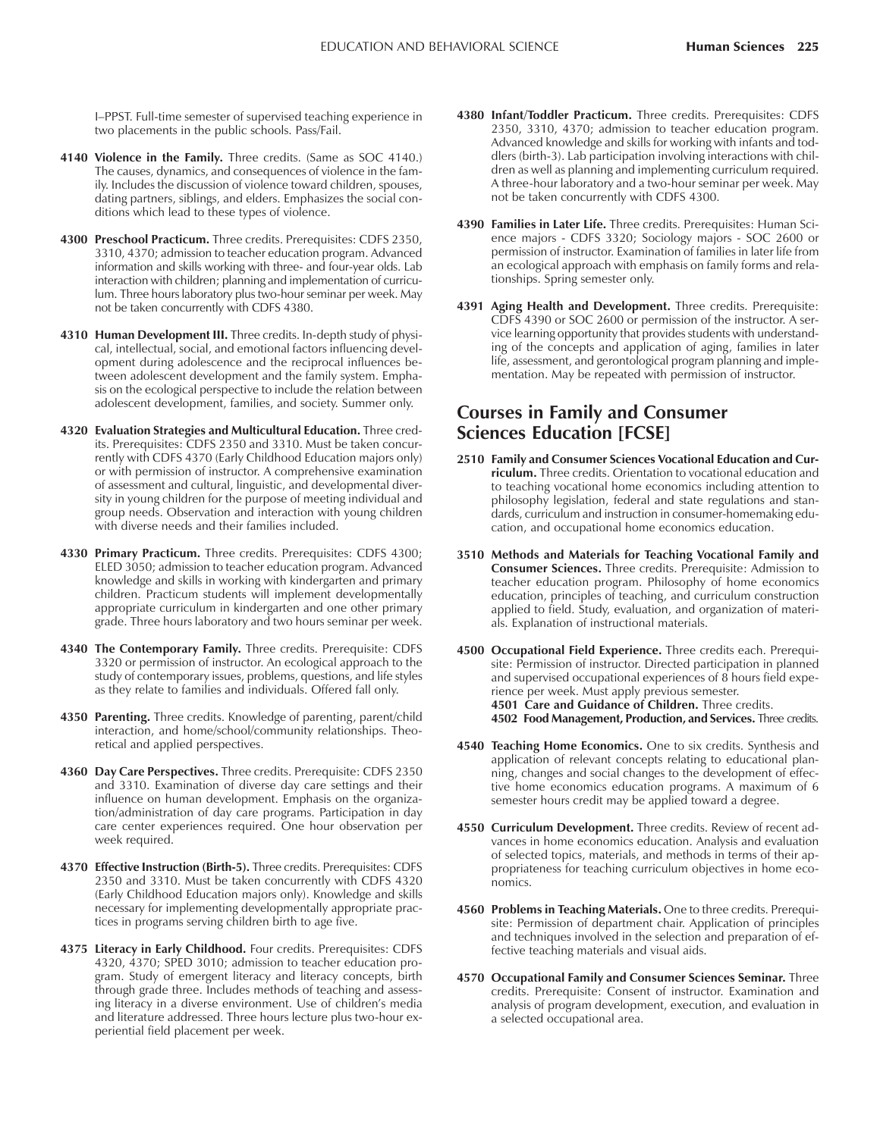I-PPST. Full-time semester of supervised teaching experience in two placements in the public schools. Pass/Fail.

- **4140 Violence in the Family.** Three credits. (Same as SOC 4140.) The causes, dynamics, and consequences of violence in the family. Includes the discussion of violence toward children, spouses, dating partners, siblings, and elders. Emphasizes the social conditions which lead to these types of violence.
- **4300 Preschool Practicum.** Three credits. Prerequisites: CDFS 2350, 3310, 4370; admission to teacher education program. Advanced information and skills working with three- and four-year olds. Lab interaction with children; planning and implementation of curriculum. Three hours laboratory plus two-hour seminar per week. May not be taken concurrently with CDFS 4380.
- **4310 Human Development III.** Three credits. In-depth study of physical, intellectual, social, and emotional factors influencing development during adolescence and the reciprocal influences between adolescent development and the family system. Emphasis on the ecological perspective to include the relation between adolescent development, families, and society. Summer only.
- **4320 Evaluation Strategies and Multicultural Education.** Three credits. Prerequisites: CDFS 2350 and 3310. Must be taken concurrently with CDFS 4370 (Early Childhood Education majors only) or with permission of instructor. A comprehensive examination of assessment and cultural, linguistic, and developmental diversity in young children for the purpose of meeting individual and group needs. Observation and interaction with young children with diverse needs and their families included.
- **4330 Primary Practicum.** Three credits. Prerequisites: CDFS 4300; ELED 3050; admission to teacher education program. Advanced knowledge and skills in working with kindergarten and primary children. Practicum students will implement developmentally appropriate curriculum in kindergarten and one other primary grade. Three hours laboratory and two hours seminar per week.
- **4340 The Contemporary Family.** Three credits. Prerequisite: CDFS 3320 or permission of instructor. An ecological approach to the study of contemporary issues, problems, questions, and life styles as they relate to families and individuals. Offered fall only.
- **4350 Parenting.** Three credits. Knowledge of parenting, parent/child interaction, and home/school/community relationships. Theoretical and applied perspectives.
- **4360 Day Care Perspectives.** Three credits. Prerequisite: CDFS 2350 and 3310. Examination of diverse day care settings and their influence on human development. Emphasis on the organization/administration of day care programs. Participation in day care center experiences required. One hour observation per week required.
- **4370 Effective Instruction (Birth-5).** Three credits. Prerequisites: CDFS 2350 and 3310. Must be taken concurrently with CDFS 4320 (Early Childhood Education majors only). Knowledge and skills necessary for implementing developmentally appropriate practices in programs serving children birth to age five.
- **4375 Literacy in Early Childhood.** Four credits. Prerequisites: CDFS 4320, 4370; SPED 3010; admission to teacher education program. Study of emergent literacy and literacy concepts, birth through grade three. Includes methods of teaching and assessing literacy in a diverse environment. Use of children's media and literature addressed. Three hours lecture plus two-hour experiential field placement per week.
- **4380 Infant/Toddler Practicum.** Three credits. Prerequisites: CDFS 2350, 3310, 4370; admission to teacher education program. Advanced knowledge and skills for working with infants and toddlers (birth-3). Lab participation involving interactions with children as well as planning and implementing curriculum required. A three-hour laboratory and a two-hour seminar per week. May not be taken concurrently with CDFS 4300.
- **4390 Families in Later Life.** Three credits. Prerequisites: Human Science majors - CDFS 3320; Sociology majors - SOC 2600 or permission of instructor. Examination of families in later life from an ecological approach with emphasis on family forms and relationships. Spring semester only.
- **4391 Aging Health and Development.** Three credits. Prerequisite: CDFS 4390 or SOC 2600 or permission of the instructor. A service learning opportunity that provides students with understanding of the concepts and application of aging, families in later life, assessment, and gerontological program planning and implementation. May be repeated with permission of instructor.

### **Courses in Family and Consumer Sciences Education [FCSE]**

- **2510 Family and Consumer Sciences Vocational Education and Curriculum.** Three credits. Orientation to vocational education and to teaching vocational home economics including attention to philosophy legislation, federal and state regulations and standards, curriculum and instruction in consumer-homemaking education, and occupational home economics education.
- **3510 Methods and Materials for Teaching Vocational Family and Consumer Sciences.** Three credits. Prerequisite: Admission to teacher education program. Philosophy of home economics education, principles of teaching, and curriculum construction applied to field. Study, evaluation, and organization of materials. Explanation of instructional materials.
- **4500 Occupational Field Experience.** Three credits each. Prerequisite: Permission of instructor. Directed participation in planned and supervised occupational experiences of 8 hours field experience per week. Must apply previous semester. **4501 Care and Guidance of Children.** Three credits. **4502 Food Management, Production, and Services.** Three credits.
- **4540 Teaching Home Economics.** One to six credits. Synthesis and application of relevant concepts relating to educational planning, changes and social changes to the development of effective home economics education programs. A maximum of 6 semester hours credit may be applied toward a degree.
- **4550 Curriculum Development.** Three credits. Review of recent advances in home economics education. Analysis and evaluation of selected topics, materials, and methods in terms of their appropriateness for teaching curriculum objectives in home economics.
- **4560 Problems in Teaching Materials.** One to three credits. Prerequisite: Permission of department chair. Application of principles and techniques involved in the selection and preparation of effective teaching materials and visual aids.
- **4570 Occupational Family and Consumer Sciences Seminar.** Three credits. Prerequisite: Consent of instructor. Examination and analysis of program development, execution, and evaluation in a selected occupational area.